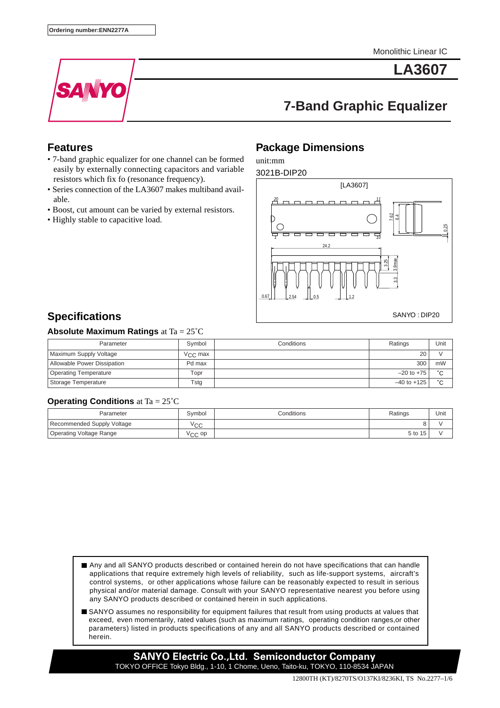Monolithic Linear IC



**LA3607**

# **7-Band Graphic Equalizer**

### **Features**

- 7-band graphic equalizer for one channel can be formed easily by externally connecting capacitors and variable resistors which fix fo (resonance frequency).
- Series connection of the LA3607 makes multiband available.
- Boost, cut amount can be varied by external resistors.
- Highly stable to capacitive load.

### **Package Dimensions**

unit:mm



## **Specifications**

#### **Absolute Maximum Ratings** at Ta = 25˚C

| Parameter                    | Symbol           | Conditions | Ratings         | Unit   |
|------------------------------|------------------|------------|-----------------|--------|
| Maximum Supply Voltage       | $V_{\rm CC}$ max |            | 20              |        |
| Allowable Power Dissipation  | Pd max           |            | 300             | mW     |
| <b>Operating Temperature</b> | Topr             |            | $-20$ to $+75$  | $\sim$ |
| Storage Temperature          | Tsta             |            | $-40$ to $+125$ | $\sim$ |

#### **Operating Conditions** at Ta = 25˚C

| Parameter                      | Symbol             | Conditions | Ratings | Unit |
|--------------------------------|--------------------|------------|---------|------|
| Recommended Supply Voltage     | Voo<br>◡◡          |            |         |      |
| <b>Operating Voltage Range</b> | $\sqrt{C}$ OD<br>w |            | 5 to 15 |      |

- Any and all SANYO products described or contained herein do not have specifications that can handle applications that require extremely high levels of reliability, such as life-support systems, aircraft's control systems, or other applications whose failure can be reasonably expected to result in serious physical and/or material damage. Consult with your SANYO representative nearest you before using any SANYO products described or contained herein in such applications.
- SANYO assumes no responsibility for equipment failures that result from using products at values that exceed, even momentarily, rated values (such as maximum ratings, operating condition ranges,or other parameters) listed in products specifications of any and all SANYO products described or contained herein.

**SANYO Electric Co.,Ltd. Semiconductor Company** TOKYO OFFICE Tokyo Bldg., 1-10, 1 Chome, Ueno, Taito-ku, TOKYO, 110-8534 JAPAN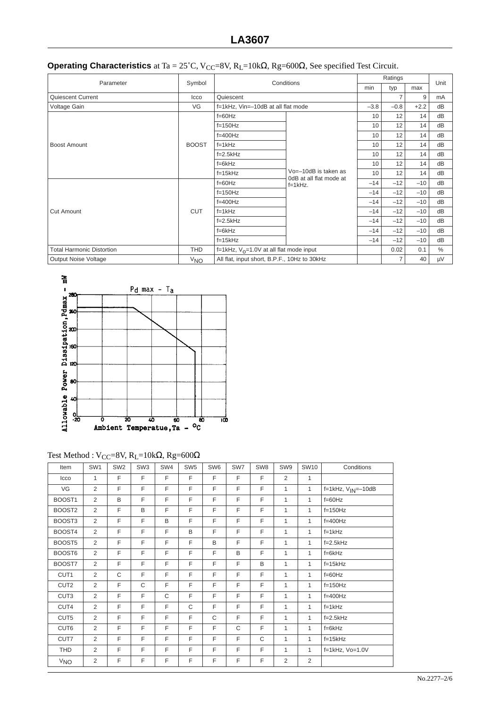|  | <b>Operating Characteristics</b> at Ta = 25°C, V <sub>CC</sub> =8V, R <sub>L</sub> =10k $\Omega$ , Rg=600 $\Omega$ , See specified Test Circuit. |
|--|--------------------------------------------------------------------------------------------------------------------------------------------------|
|--|--------------------------------------------------------------------------------------------------------------------------------------------------|

| Parameter                        | Symbol          | Conditions                                   |                                                     | Unit   |        |       |    |
|----------------------------------|-----------------|----------------------------------------------|-----------------------------------------------------|--------|--------|-------|----|
|                                  |                 |                                              | min                                                 | typ    | max    |       |    |
| Quiescent Current                | Icco            | Quiescent                                    |                                                     | 7      | 9      | mA    |    |
| Voltage Gain                     | VG              | f=1kHz, Vin=-10dB at all flat mode           | $-3.8$                                              | $-0.8$ | $+2.2$ | dB    |    |
|                                  |                 | $f=60Hz$                                     |                                                     | 10     | 12     | 14    | dB |
|                                  |                 | $f=150Hz$                                    |                                                     | 10     | 12     | 14    | dB |
|                                  |                 | $f = 400$ Hz                                 |                                                     | 10     | 12     | 14    | dB |
| Boost Amount                     | <b>BOOST</b>    | $f=1kHz$                                     |                                                     | 10     | 12     | 14    | dB |
|                                  |                 | $f=2.5$ kHz                                  |                                                     | 10     | 12     | 14    | dB |
|                                  |                 | $f=6kHz$                                     |                                                     | 10     | 12     | 14    | dB |
|                                  |                 | $f=15kHz$                                    | $Vo = -10dB$ is taken as<br>0dB at all flat mode at | 10     | 12     | 14    | dB |
|                                  |                 | $f=60Hz$                                     | $f=1$ kHz.                                          | $-14$  | $-12$  | $-10$ | dB |
|                                  |                 | $f=150Hz$                                    |                                                     | $-14$  | $-12$  | $-10$ | dB |
|                                  | <b>CUT</b>      | $f = 400$ Hz                                 |                                                     | $-14$  | $-12$  | $-10$ | dB |
| <b>Cut Amount</b>                |                 | $f=1kHz$                                     |                                                     | $-14$  | $-12$  | $-10$ | dB |
|                                  |                 | $f=2.5$ kHz                                  |                                                     | $-14$  | $-12$  | $-10$ | dB |
|                                  |                 | $f=6kHz$                                     |                                                     | $-14$  | $-12$  | $-10$ | dB |
|                                  |                 | $f=15kHz$                                    |                                                     | $-14$  | $-12$  | $-10$ | dB |
| <b>Total Harmonic Distortion</b> | THD             | f=1kHz, $V_0$ =1.0V at all flat mode input   |                                                     |        | 0.02   | 0.1   | %  |
| Output Noise Voltage             | <sup>V</sup> NO | All flat, input short, B.P.F., 10Hz to 30kHz |                                                     | 7      | 40     | μV    |    |



Test Method : V<sub>CC</sub>=8V, R<sub>L</sub>=10kΩ, Rg=600Ω

| Item             | SW <sub>1</sub> | SW <sub>2</sub> | SW <sub>3</sub> | SW4 | SW <sub>5</sub> | SW <sub>6</sub> | SW7          | SW <sub>8</sub> | SW9          | <b>SW10</b>  | Conditions                |
|------------------|-----------------|-----------------|-----------------|-----|-----------------|-----------------|--------------|-----------------|--------------|--------------|---------------------------|
| Icco             | 1               | F               | F               | F   | F               | F               | E            | F               | 2            | $\mathbf{1}$ |                           |
| VG               | 2               | F               | E               | F   | F               | F               | F            | F               | $\mathbf{1}$ | $\mathbf{1}$ | $f=1kHz$ , $V_{IN}=-10dB$ |
| BOOST1           | $\overline{2}$  | B               | E               | F   | F               | F               | F            | F               | $\mathbf{1}$ | $\mathbf{1}$ | $f=60Hz$                  |
| BOOST2           | 2               | F               | B               | F   | F               | F               | F            | F               | $\mathbf{1}$ | $\mathbf{1}$ | $f=150Hz$                 |
| BOOST3           | 2               | F               | F               | B   | F               | F               | F            | F               | $\mathbf{1}$ | $\mathbf{1}$ | $f=400Hz$                 |
| BOOST4           | 2               | F               | F               | F   | B               | F               | F            | F               | 1            | 1            | $f=1kHz$                  |
| BOOST5           | 2               | F               | F               | F   | F               | B               | F            | F               | 1            | 1            | $f=2.5kHz$                |
| BOOST6           | 2               | F               | E               | F   | F               | F               | B            | F               | $\mathbf{1}$ | $\mathbf{1}$ | $f=6kHz$                  |
| BOOST7           | $\overline{2}$  | F               | E               | F   | F               | F               | F            | B               | $\mathbf{1}$ | 1            | $f=15kHz$                 |
| CUT1             | 2               | C               | F               | F   | F               | F               | F            | F               | $\mathbf{1}$ | $\mathbf{1}$ | $f=60$ Hz                 |
| CUT <sub>2</sub> | 2               | F               | C               | F   | F               | F               | F            | F               | $\mathbf{1}$ | $\mathbf{1}$ | $f=150Hz$                 |
| CUT3             | 2               | F               | E               | C   | F               | F               | F            | F               | $\mathbf{1}$ | $\mathbf{1}$ | $f=400Hz$                 |
| CUT4             | $\overline{2}$  | F               | F               | F   | C               | F               | F            | F               | $\mathbf{1}$ | 1            | $f=1kHz$                  |
| CUT5             | 2               | F               | F               | F   | F               | C               | F            | F               | $\mathbf{1}$ | $\mathbf{1}$ | $f=2.5kHz$                |
| CUT6             | $\overline{2}$  | F               | E               | F   | F               | F               | $\mathsf{C}$ | F               | $\mathbf{1}$ | $\mathbf{1}$ | $f=6kHz$                  |
| CUT7             | 2               | F               | F               | F   | F               | F               | F            | C               | $\mathbf{1}$ | $\mathbf{1}$ | $f=15kHz$                 |
| <b>THD</b>       | 2               | F               | F               | F   | F               | F               | F            | F               | $\mathbf{1}$ | $\mathbf{1}$ | f=1kHz, Vo=1.0V           |
| V <sub>NO</sub>  | $\overline{2}$  | F               | F               | F   | F               | F               | F            | F               | 2            | 2            |                           |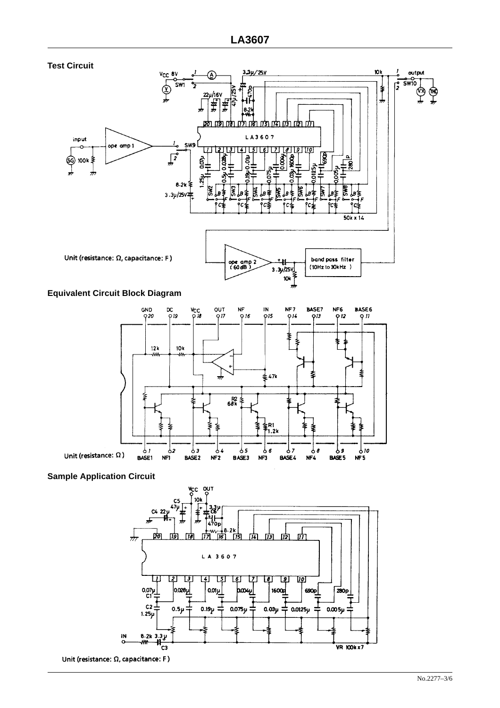

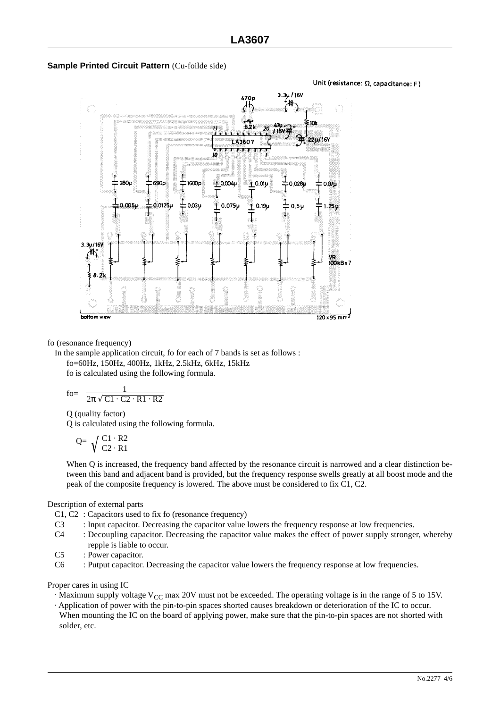

Unit (resistance:  $\Omega$ , capacitance: F)



fo (resonance frequency)

In the sample application circuit, fo for each of 7 bands is set as follows : fo=60Hz, 150Hz, 400Hz, 1kHz, 2.5kHz, 6kHz, 15kHz

fo is calculated using the following formula.

$$
\text{fo} = \frac{1}{2\pi\sqrt{C1 \cdot C2 \cdot R1 \cdot R2}}
$$

Q (quality factor)

Q is calculated using the following formula.

$$
Q = \sqrt{\frac{C1 \cdot R2}{C2 \cdot R1}}
$$

When Q is increased, the frequency band affected by the resonance circuit is narrowed and a clear distinction between this band and adjacent band is provided, but the frequency response swells greatly at all boost mode and the peak of the composite frequency is lowered. The above must be considered to fix C1, C2.

Description of external parts

- C1, C2 : Capacitors used to fix fo (resonance frequency)
- C3 : Input capacitor. Decreasing the capacitor value lowers the frequency response at low frequencies.
- C4 : Decoupling capacitor. Decreasing the capacitor value makes the effect of power supply stronger, whereby repple is liable to occur.
- C5 : Power capacitor.
- C6 : Putput capacitor. Decreasing the capacitor value lowers the frequency response at low frequencies.

Proper cares in using IC

- $\cdot$  Maximum supply voltage V<sub>CC</sub> max 20V must not be exceeded. The operating voltage is in the range of 5 to 15V.
- · Application of power with the pin-to-pin spaces shorted causes breakdown or deterioration of the IC to occur. When mounting the IC on the board of applying power, make sure that the pin-to-pin spaces are not shorted with solder, etc.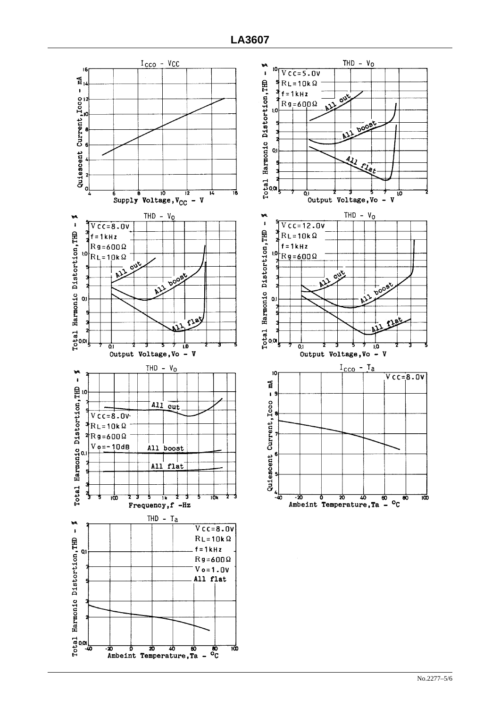

![](_page_4_Figure_2.jpeg)

THD -  $V_O$